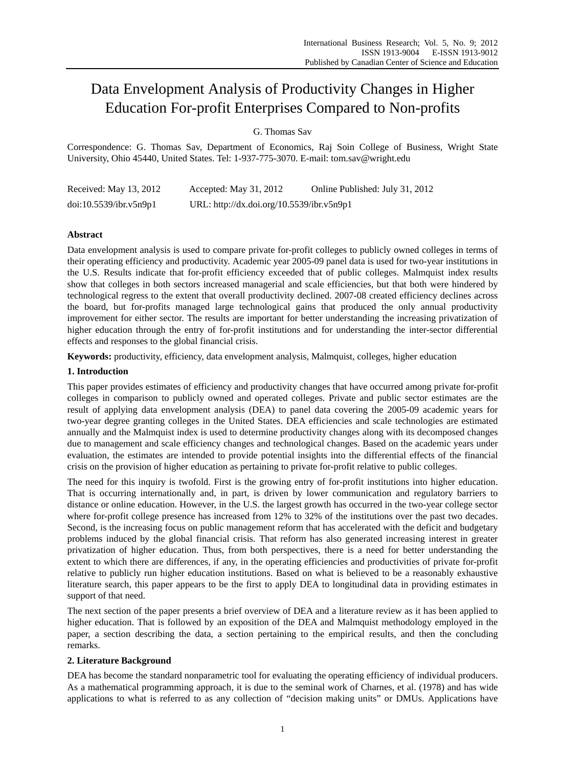# Data Envelopment Analysis of Productivity Changes in Higher Education For-profit Enterprises Compared to Non-profits

G. Thomas Sav

Correspondence: G. Thomas Sav, Department of Economics, Raj Soin College of Business, Wright State University, Ohio 45440, United States. Tel: 1-937-775-3070. E-mail: tom.sav@wright.edu

| Received: May 13, 2012 | Accepted: May 31, 2012                    | Online Published: July 31, 2012 |
|------------------------|-------------------------------------------|---------------------------------|
| doi:10.5539/ibr.v5n9p1 | URL: http://dx.doi.org/10.5539/ibr.v5n9p1 |                                 |

# **Abstract**

Data envelopment analysis is used to compare private for-profit colleges to publicly owned colleges in terms of their operating efficiency and productivity. Academic year 2005-09 panel data is used for two-year institutions in the U.S. Results indicate that for-profit efficiency exceeded that of public colleges. Malmquist index results show that colleges in both sectors increased managerial and scale efficiencies, but that both were hindered by technological regress to the extent that overall productivity declined. 2007-08 created efficiency declines across the board, but for-profits managed large technological gains that produced the only annual productivity improvement for either sector. The results are important for better understanding the increasing privatization of higher education through the entry of for-profit institutions and for understanding the inter-sector differential effects and responses to the global financial crisis.

**Keywords:** productivity, efficiency, data envelopment analysis, Malmquist, colleges, higher education

# **1. Introduction**

This paper provides estimates of efficiency and productivity changes that have occurred among private for-profit colleges in comparison to publicly owned and operated colleges. Private and public sector estimates are the result of applying data envelopment analysis (DEA) to panel data covering the 2005-09 academic years for two-year degree granting colleges in the United States. DEA efficiencies and scale technologies are estimated annually and the Malmquist index is used to determine productivity changes along with its decomposed changes due to management and scale efficiency changes and technological changes. Based on the academic years under evaluation, the estimates are intended to provide potential insights into the differential effects of the financial crisis on the provision of higher education as pertaining to private for-profit relative to public colleges.

The need for this inquiry is twofold. First is the growing entry of for-profit institutions into higher education. That is occurring internationally and, in part, is driven by lower communication and regulatory barriers to distance or online education. However, in the U.S. the largest growth has occurred in the two-year college sector where for-profit college presence has increased from 12% to 32% of the institutions over the past two decades. Second, is the increasing focus on public management reform that has accelerated with the deficit and budgetary problems induced by the global financial crisis. That reform has also generated increasing interest in greater privatization of higher education. Thus, from both perspectives, there is a need for better understanding the extent to which there are differences, if any, in the operating efficiencies and productivities of private for-profit relative to publicly run higher education institutions. Based on what is believed to be a reasonably exhaustive literature search, this paper appears to be the first to apply DEA to longitudinal data in providing estimates in support of that need.

The next section of the paper presents a brief overview of DEA and a literature review as it has been applied to higher education. That is followed by an exposition of the DEA and Malmquist methodology employed in the paper, a section describing the data, a section pertaining to the empirical results, and then the concluding remarks.

## **2. Literature Background**

DEA has become the standard nonparametric tool for evaluating the operating efficiency of individual producers. As a mathematical programming approach, it is due to the seminal work of Charnes, et al. (1978) and has wide applications to what is referred to as any collection of "decision making units" or DMUs. Applications have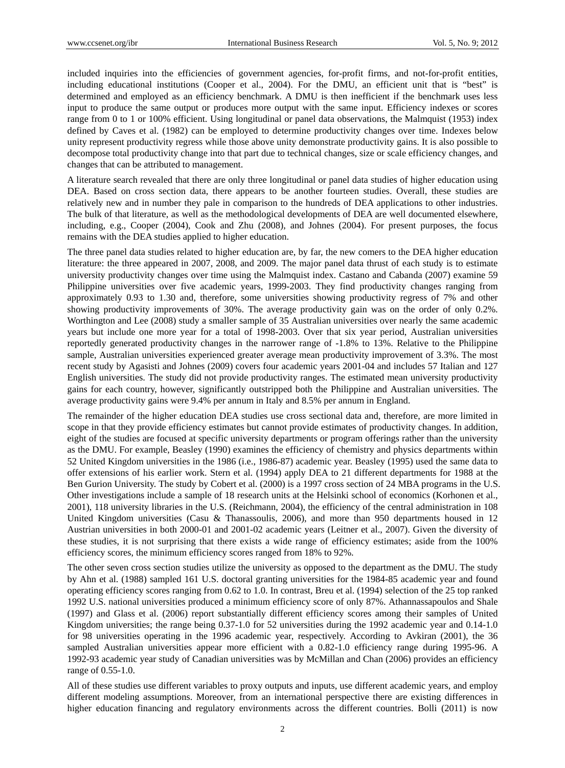included inquiries into the efficiencies of government agencies, for-profit firms, and not-for-profit entities, including educational institutions (Cooper et al., 2004). For the DMU, an efficient unit that is "best" is determined and employed as an efficiency benchmark. A DMU is then inefficient if the benchmark uses less input to produce the same output or produces more output with the same input. Efficiency indexes or scores range from 0 to 1 or 100% efficient. Using longitudinal or panel data observations, the Malmquist (1953) index defined by Caves et al. (1982) can be employed to determine productivity changes over time. Indexes below unity represent productivity regress while those above unity demonstrate productivity gains. It is also possible to decompose total productivity change into that part due to technical changes, size or scale efficiency changes, and changes that can be attributed to management.

A literature search revealed that there are only three longitudinal or panel data studies of higher education using DEA. Based on cross section data, there appears to be another fourteen studies. Overall, these studies are relatively new and in number they pale in comparison to the hundreds of DEA applications to other industries. The bulk of that literature, as well as the methodological developments of DEA are well documented elsewhere, including, e.g., Cooper (2004), Cook and Zhu (2008), and Johnes (2004). For present purposes, the focus remains with the DEA studies applied to higher education.

The three panel data studies related to higher education are, by far, the new comers to the DEA higher education literature: the three appeared in 2007, 2008, and 2009. The major panel data thrust of each study is to estimate university productivity changes over time using the Malmquist index. Castano and Cabanda (2007) examine 59 Philippine universities over five academic years, 1999-2003. They find productivity changes ranging from approximately 0.93 to 1.30 and, therefore, some universities showing productivity regress of 7% and other showing productivity improvements of 30%. The average productivity gain was on the order of only 0.2%. Worthington and Lee (2008) study a smaller sample of 35 Australian universities over nearly the same academic years but include one more year for a total of 1998-2003. Over that six year period, Australian universities reportedly generated productivity changes in the narrower range of -1.8% to 13%. Relative to the Philippine sample, Australian universities experienced greater average mean productivity improvement of 3.3%. The most recent study by Agasisti and Johnes (2009) covers four academic years 2001-04 and includes 57 Italian and 127 English universities. The study did not provide productivity ranges. The estimated mean university productivity gains for each country, however, significantly outstripped both the Philippine and Australian universities. The average productivity gains were 9.4% per annum in Italy and 8.5% per annum in England.

The remainder of the higher education DEA studies use cross sectional data and, therefore, are more limited in scope in that they provide efficiency estimates but cannot provide estimates of productivity changes. In addition, eight of the studies are focused at specific university departments or program offerings rather than the university as the DMU. For example, Beasley (1990) examines the efficiency of chemistry and physics departments within 52 United Kingdom universities in the 1986 (i.e., 1986-87) academic year. Beasley (1995) used the same data to offer extensions of his earlier work. Stern et al. (1994) apply DEA to 21 different departments for 1988 at the Ben Gurion University. The study by Cobert et al. (2000) is a 1997 cross section of 24 MBA programs in the U.S. Other investigations include a sample of 18 research units at the Helsinki school of economics (Korhonen et al., 2001), 118 university libraries in the U.S. (Reichmann, 2004), the efficiency of the central administration in 108 United Kingdom universities (Casu & Thanassoulis, 2006), and more than 950 departments housed in 12 Austrian universities in both 2000-01 and 2001-02 academic years (Leitner et al., 2007). Given the diversity of these studies, it is not surprising that there exists a wide range of efficiency estimates; aside from the 100% efficiency scores, the minimum efficiency scores ranged from 18% to 92%.

The other seven cross section studies utilize the university as opposed to the department as the DMU. The study by Ahn et al. (1988) sampled 161 U.S. doctoral granting universities for the 1984-85 academic year and found operating efficiency scores ranging from 0.62 to 1.0. In contrast, Breu et al. (1994) selection of the 25 top ranked 1992 U.S. national universities produced a minimum efficiency score of only 87%. Athannassapoulos and Shale (1997) and Glass et al. (2006) report substantially different efficiency scores among their samples of United Kingdom universities; the range being 0.37-1.0 for 52 universities during the 1992 academic year and 0.14-1.0 for 98 universities operating in the 1996 academic year, respectively. According to Avkiran (2001), the 36 sampled Australian universities appear more efficient with a 0.82-1.0 efficiency range during 1995-96. A 1992-93 academic year study of Canadian universities was by McMillan and Chan (2006) provides an efficiency range of 0.55-1.0.

All of these studies use different variables to proxy outputs and inputs, use different academic years, and employ different modeling assumptions. Moreover, from an international perspective there are existing differences in higher education financing and regulatory environments across the different countries. Bolli (2011) is now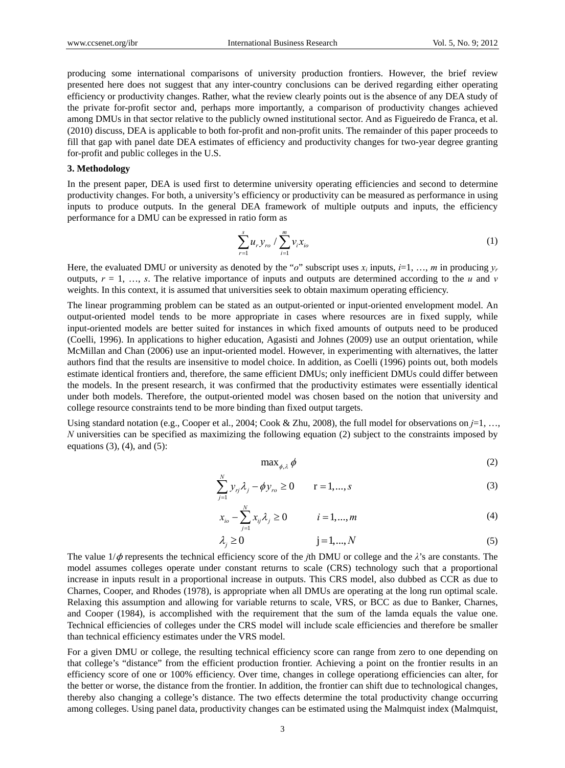producing some international comparisons of university production frontiers. However, the brief review presented here does not suggest that any inter-country conclusions can be derived regarding either operating efficiency or productivity changes. Rather, what the review clearly points out is the absence of any DEA study of the private for-profit sector and, perhaps more importantly, a comparison of productivity changes achieved among DMUs in that sector relative to the publicly owned institutional sector. And as Figueiredo de Franca, et al. (2010) discuss, DEA is applicable to both for-profit and non-profit units. The remainder of this paper proceeds to fill that gap with panel date DEA estimates of efficiency and productivity changes for two-year degree granting for-profit and public colleges in the U.S.

#### **3. Methodology**

In the present paper, DEA is used first to determine university operating efficiencies and second to determine productivity changes. For both, a university's efficiency or productivity can be measured as performance in using inputs to produce outputs. In the general DEA framework of multiple outputs and inputs, the efficiency performance for a DMU can be expressed in ratio form as

$$
\sum_{r=1}^{s} u_r y_{ro} / \sum_{i=1}^{m} v_i x_{io}
$$
 (1)

Here, the evaluated DMU or university as denoted by the "*o*" subscript uses  $x_i$  inputs,  $i=1, ..., m$  in producing  $y_r$ outputs,  $r = 1, \ldots, s$ . The relative importance of inputs and outputs are determined according to the *u* and *v* weights. In this context, it is assumed that universities seek to obtain maximum operating efficiency.

The linear programming problem can be stated as an output-oriented or input-oriented envelopment model. An output-oriented model tends to be more appropriate in cases where resources are in fixed supply, while input-oriented models are better suited for instances in which fixed amounts of outputs need to be produced (Coelli, 1996). In applications to higher education, Agasisti and Johnes (2009) use an output orientation, while McMillan and Chan (2006) use an input-oriented model. However, in experimenting with alternatives, the latter authors find that the results are insensitive to model choice. In addition, as Coelli (1996) points out, both models estimate identical frontiers and, therefore, the same efficient DMUs; only inefficient DMUs could differ between the models. In the present research, it was confirmed that the productivity estimates were essentially identical under both models. Therefore, the output-oriented model was chosen based on the notion that university and college resource constraints tend to be more binding than fixed output targets.

Using standard notation (e.g., Cooper et al., 2004; Cook & Zhu, 2008), the full model for observations on *j*=1, …, *N* universities can be specified as maximizing the following equation (2) subject to the constraints imposed by equations  $(3)$ ,  $(4)$ , and  $(5)$ :

$$
\max_{\phi,\lambda} \phi \tag{2}
$$

$$
\sum_{j=1}^{N} y_{rj} \lambda_j - \phi y_{ro} \ge 0 \qquad r = 1, ..., s
$$
 (3)

$$
x_{i0} - \sum_{j=1}^{N} x_{ij} \lambda_j \ge 0 \qquad i = 1, ..., m \tag{4}
$$

$$
\lambda_j \ge 0 \qquad j = 1, \dots, N \tag{5}
$$

The value  $1/\phi$  represents the technical efficiency score of the *j*th DMU or college and the  $\lambda$ 's are constants. The model assumes colleges operate under constant returns to scale (CRS) technology such that a proportional increase in inputs result in a proportional increase in outputs. This CRS model, also dubbed as CCR as due to Charnes, Cooper, and Rhodes (1978), is appropriate when all DMUs are operating at the long run optimal scale. Relaxing this assumption and allowing for variable returns to scale, VRS, or BCC as due to Banker, Charnes, and Cooper (1984), is accomplished with the requirement that the sum of the lamda equals the value one. Technical efficiencies of colleges under the CRS model will include scale efficiencies and therefore be smaller than technical efficiency estimates under the VRS model.

For a given DMU or college, the resulting technical efficiency score can range from zero to one depending on that college's "distance" from the efficient production frontier. Achieving a point on the frontier results in an efficiency score of one or 100% efficiency. Over time, changes in college operationg efficiencies can alter, for the better or worse, the distance from the frontier. In addition, the frontier can shift due to technological changes, thereby also changing a college's distance. The two effects determine the total productivity change occurring among colleges. Using panel data, productivity changes can be estimated using the Malmquist index (Malmquist,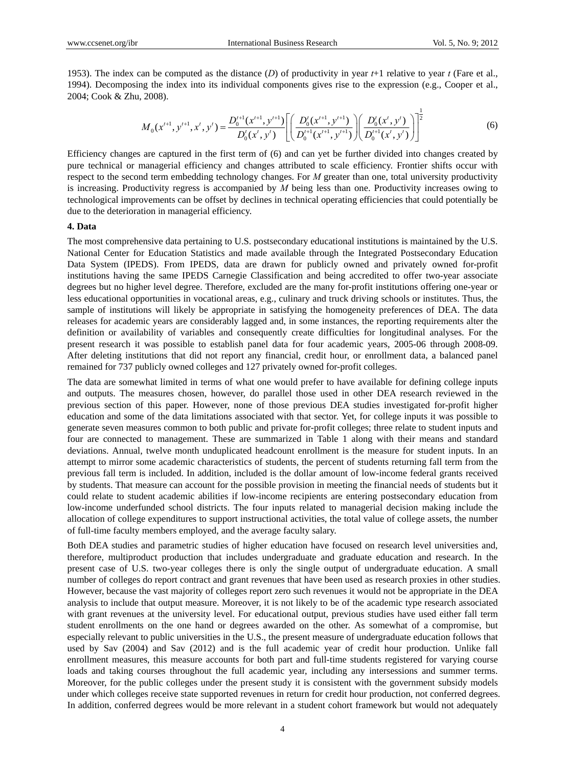1953). The index can be computed as the distance (*D*) of productivity in year *t*+1 relative to year *t* (Fare et al., 1994). Decomposing the index into its individual components gives rise to the expression (e.g., Cooper et al., 2004; Cook & Zhu, 2008).

$$
M_0(x^{t+1}, y^{t+1}, x^t, y^t) = \frac{D_0^{t+1}(x^{t+1}, y^{t+1})}{D_0^{t}(x^t, y^t)} \left[ \left( \frac{D_0^{t}(x^{t+1}, y^{t+1})}{D_0^{t+1}(x^{t+1}, y^{t+1})} \right) \left( \frac{D_0^{t}(x^t, y^t)}{D_0^{t+1}(x^t, y^t)} \right) \right]^{\frac{1}{2}}
$$
(6)

Efficiency changes are captured in the first term of (6) and can yet be further divided into changes created by pure technical or managerial efficiency and changes attributed to scale efficiency. Frontier shifts occur with respect to the second term embedding technology changes. For *M* greater than one, total university productivity is increasing. Productivity regress is accompanied by *M* being less than one. Productivity increases owing to technological improvements can be offset by declines in technical operating efficiencies that could potentially be due to the deterioration in managerial efficiency.

## **4. Data**

The most comprehensive data pertaining to U.S. postsecondary educational institutions is maintained by the U.S. National Center for Education Statistics and made available through the Integrated Postsecondary Education Data System (IPEDS). From IPEDS, data are drawn for publicly owned and privately owned for-profit institutions having the same IPEDS Carnegie Classification and being accredited to offer two-year associate degrees but no higher level degree. Therefore, excluded are the many for-profit institutions offering one-year or less educational opportunities in vocational areas, e.g., culinary and truck driving schools or institutes. Thus, the sample of institutions will likely be appropriate in satisfying the homogeneity preferences of DEA. The data releases for academic years are considerably lagged and, in some instances, the reporting requirements alter the definition or availability of variables and consequently create difficulties for longitudinal analyses. For the present research it was possible to establish panel data for four academic years, 2005-06 through 2008-09. After deleting institutions that did not report any financial, credit hour, or enrollment data, a balanced panel remained for 737 publicly owned colleges and 127 privately owned for-profit colleges.

The data are somewhat limited in terms of what one would prefer to have available for defining college inputs and outputs. The measures chosen, however, do parallel those used in other DEA research reviewed in the previous section of this paper. However, none of those previous DEA studies investigated for-profit higher education and some of the data limitations associated with that sector. Yet, for college inputs it was possible to generate seven measures common to both public and private for-profit colleges; three relate to student inputs and four are connected to management. These are summarized in Table 1 along with their means and standard deviations. Annual, twelve month unduplicated headcount enrollment is the measure for student inputs. In an attempt to mirror some academic characteristics of students, the percent of students returning fall term from the previous fall term is included. In addition, included is the dollar amount of low-income federal grants received by students. That measure can account for the possible provision in meeting the financial needs of students but it could relate to student academic abilities if low-income recipients are entering postsecondary education from low-income underfunded school districts. The four inputs related to managerial decision making include the allocation of college expenditures to support instructional activities, the total value of college assets, the number of full-time faculty members employed, and the average faculty salary.

Both DEA studies and parametric studies of higher education have focused on research level universities and, therefore, multiproduct production that includes undergraduate and graduate education and research. In the present case of U.S. two-year colleges there is only the single output of undergraduate education. A small number of colleges do report contract and grant revenues that have been used as research proxies in other studies. However, because the vast majority of colleges report zero such revenues it would not be appropriate in the DEA analysis to include that output measure. Moreover, it is not likely to be of the academic type research associated with grant revenues at the university level. For educational output, previous studies have used either fall term student enrollments on the one hand or degrees awarded on the other. As somewhat of a compromise, but especially relevant to public universities in the U.S., the present measure of undergraduate education follows that used by Sav (2004) and Sav (2012) and is the full academic year of credit hour production. Unlike fall enrollment measures, this measure accounts for both part and full-time students registered for varying course loads and taking courses throughout the full academic year, including any intersessions and summer terms. Moreover, for the public colleges under the present study it is consistent with the government subsidy models under which colleges receive state supported revenues in return for credit hour production, not conferred degrees. In addition, conferred degrees would be more relevant in a student cohort framework but would not adequately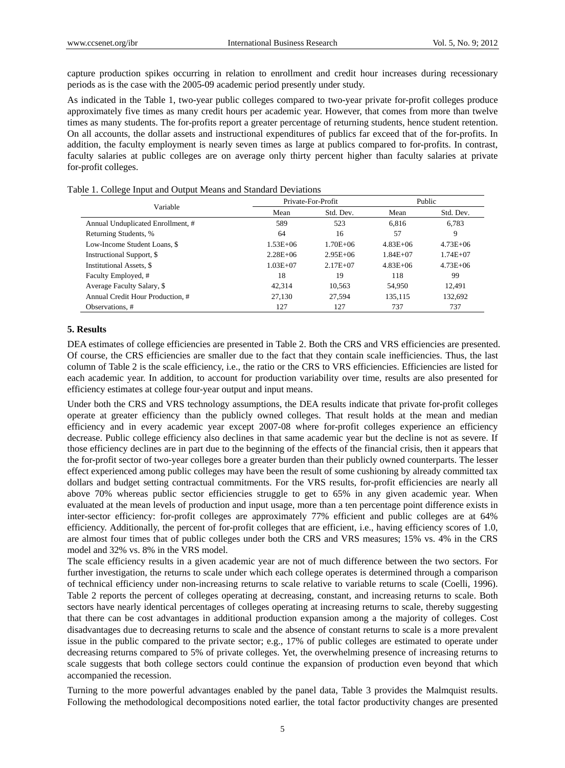capture production spikes occurring in relation to enrollment and credit hour increases during recessionary periods as is the case with the 2005-09 academic period presently under study.

As indicated in the Table 1, two-year public colleges compared to two-year private for-profit colleges produce approximately five times as many credit hours per academic year. However, that comes from more than twelve times as many students. The for-profits report a greater percentage of returning students, hence student retention. On all accounts, the dollar assets and instructional expenditures of publics far exceed that of the for-profits. In addition, the faculty employment is nearly seven times as large at publics compared to for-profits. In contrast, faculty salaries at public colleges are on average only thirty percent higher than faculty salaries at private for-profit colleges.

| Table 1. College Input and Output Means and Standard Deviations |  |
|-----------------------------------------------------------------|--|
|-----------------------------------------------------------------|--|

|                                   |              | Private-For-Profit | Public       |              |
|-----------------------------------|--------------|--------------------|--------------|--------------|
| Variable                          | Mean         | Std. Dev.          | Mean         | Std. Dev.    |
| Annual Unduplicated Enrollment, # | 589          | 523                | 6.816        | 6,783        |
| Returning Students, %             | 64           | 16                 | 57           | 9            |
| Low-Income Student Loans, \$      | $1.53E + 06$ | $1.70E + 06$       | $4.83E + 06$ | $4.73E + 06$ |
| Instructional Support, \$         | $2.28E + 06$ | $2.95E + 06$       | $1.84E + 07$ | $1.74E + 07$ |
| Institutional Assets, \$          | $1.03E + 07$ | $2.17E + 07$       | $4.83E + 06$ | $4.73E + 06$ |
| Faculty Employed, #               | 18           | 19                 | 118          | 99           |
| Average Faculty Salary, \$        | 42.314       | 10,563             | 54,950       | 12.491       |
| Annual Credit Hour Production, #  | 27,130       | 27,594             | 135,115      | 132,692      |
| Observations, #                   | 127          | 127                | 737          | 737          |

#### **5. Results**

DEA estimates of college efficiencies are presented in Table 2. Both the CRS and VRS efficiencies are presented. Of course, the CRS efficiencies are smaller due to the fact that they contain scale inefficiencies. Thus, the last column of Table 2 is the scale efficiency, i.e., the ratio or the CRS to VRS efficiencies. Efficiencies are listed for each academic year. In addition, to account for production variability over time, results are also presented for efficiency estimates at college four-year output and input means.

Under both the CRS and VRS technology assumptions, the DEA results indicate that private for-profit colleges operate at greater efficiency than the publicly owned colleges. That result holds at the mean and median efficiency and in every academic year except 2007-08 where for-profit colleges experience an efficiency decrease. Public college efficiency also declines in that same academic year but the decline is not as severe. If those efficiency declines are in part due to the beginning of the effects of the financial crisis, then it appears that the for-profit sector of two-year colleges bore a greater burden than their publicly owned counterparts. The lesser effect experienced among public colleges may have been the result of some cushioning by already committed tax dollars and budget setting contractual commitments. For the VRS results, for-profit efficiencies are nearly all above 70% whereas public sector efficiencies struggle to get to 65% in any given academic year. When evaluated at the mean levels of production and input usage, more than a ten percentage point difference exists in inter-sector efficiency: for-profit colleges are approximately 77% efficient and public colleges are at 64% efficiency. Additionally, the percent of for-profit colleges that are efficient, i.e., having efficiency scores of 1.0, are almost four times that of public colleges under both the CRS and VRS measures; 15% vs. 4% in the CRS model and 32% vs. 8% in the VRS model.

The scale efficiency results in a given academic year are not of much difference between the two sectors. For further investigation, the returns to scale under which each college operates is determined through a comparison of technical efficiency under non-increasing returns to scale relative to variable returns to scale (Coelli, 1996). Table 2 reports the percent of colleges operating at decreasing, constant, and increasing returns to scale. Both sectors have nearly identical percentages of colleges operating at increasing returns to scale, thereby suggesting that there can be cost advantages in additional production expansion among a the majority of colleges. Cost disadvantages due to decreasing returns to scale and the absence of constant returns to scale is a more prevalent issue in the public compared to the private sector; e.g., 17% of public colleges are estimated to operate under decreasing returns compared to 5% of private colleges. Yet, the overwhelming presence of increasing returns to scale suggests that both college sectors could continue the expansion of production even beyond that which accompanied the recession.

Turning to the more powerful advantages enabled by the panel data, Table 3 provides the Malmquist results. Following the methodological decompositions noted earlier, the total factor productivity changes are presented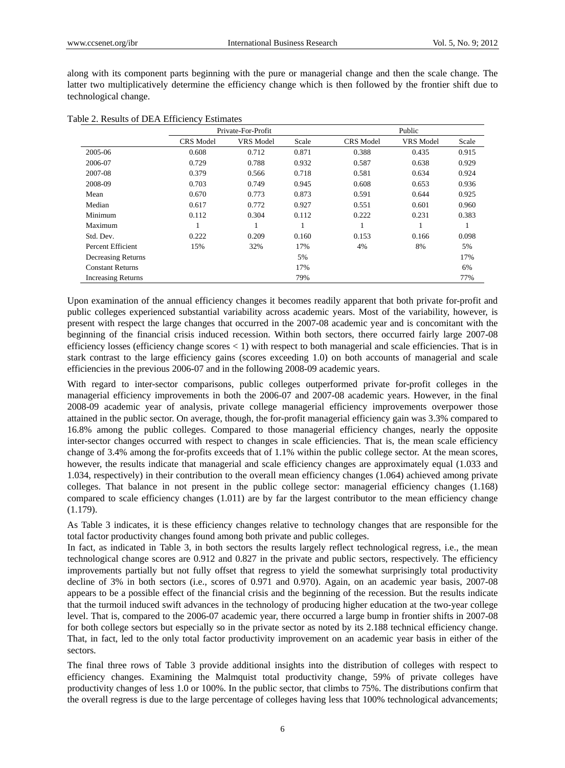along with its component parts beginning with the pure or managerial change and then the scale change. The latter two multiplicatively determine the efficiency change which is then followed by the frontier shift due to technological change.

|                           | Private-For-Profit |           |       | Public           |                  |       |
|---------------------------|--------------------|-----------|-------|------------------|------------------|-------|
|                           | <b>CRS</b> Model   | VRS Model | Scale | <b>CRS</b> Model | <b>VRS</b> Model | Scale |
| 2005-06                   | 0.608              | 0.712     | 0.871 | 0.388            | 0.435            | 0.915 |
| 2006-07                   | 0.729              | 0.788     | 0.932 | 0.587            | 0.638            | 0.929 |
| 2007-08                   | 0.379              | 0.566     | 0.718 | 0.581            | 0.634            | 0.924 |
| 2008-09                   | 0.703              | 0.749     | 0.945 | 0.608            | 0.653            | 0.936 |
| Mean                      | 0.670              | 0.773     | 0.873 | 0.591            | 0.644            | 0.925 |
| Median                    | 0.617              | 0.772     | 0.927 | 0.551            | 0.601            | 0.960 |
| Minimum                   | 0.112              | 0.304     | 0.112 | 0.222            | 0.231            | 0.383 |
| Maximum                   |                    |           |       |                  |                  |       |
| Std. Dev.                 | 0.222              | 0.209     | 0.160 | 0.153            | 0.166            | 0.098 |
| Percent Efficient         | 15%                | 32%       | 17%   | 4%               | 8%               | 5%    |
| Decreasing Returns        |                    |           | 5%    |                  |                  | 17%   |
| <b>Constant Returns</b>   |                    |           | 17%   |                  |                  | 6%    |
| <b>Increasing Returns</b> |                    |           | 79%   |                  |                  | 77%   |

Upon examination of the annual efficiency changes it becomes readily apparent that both private for-profit and public colleges experienced substantial variability across academic years. Most of the variability, however, is present with respect the large changes that occurred in the 2007-08 academic year and is concomitant with the beginning of the financial crisis induced recession. Within both sectors, there occurred fairly large 2007-08 efficiency losses (efficiency change scores < 1) with respect to both managerial and scale efficiencies. That is in stark contrast to the large efficiency gains (scores exceeding 1.0) on both accounts of managerial and scale efficiencies in the previous 2006-07 and in the following 2008-09 academic years.

With regard to inter-sector comparisons, public colleges outperformed private for-profit colleges in the managerial efficiency improvements in both the 2006-07 and 2007-08 academic years. However, in the final 2008-09 academic year of analysis, private college managerial efficiency improvements overpower those attained in the public sector. On average, though, the for-profit managerial efficiency gain was 3.3% compared to 16.8% among the public colleges. Compared to those managerial efficiency changes, nearly the opposite inter-sector changes occurred with respect to changes in scale efficiencies. That is, the mean scale efficiency change of 3.4% among the for-profits exceeds that of 1.1% within the public college sector. At the mean scores, however, the results indicate that managerial and scale efficiency changes are approximately equal (1.033 and 1.034, respectively) in their contribution to the overall mean efficiency changes (1.064) achieved among private colleges. That balance in not present in the public college sector: managerial efficiency changes (1.168) compared to scale efficiency changes (1.011) are by far the largest contributor to the mean efficiency change (1.179).

As Table 3 indicates, it is these efficiency changes relative to technology changes that are responsible for the total factor productivity changes found among both private and public colleges.

In fact, as indicated in Table 3, in both sectors the results largely reflect technological regress, i.e., the mean technological change scores are 0.912 and 0.827 in the private and public sectors, respectively. The efficiency improvements partially but not fully offset that regress to yield the somewhat surprisingly total productivity decline of 3% in both sectors (i.e., scores of 0.971 and 0.970). Again, on an academic year basis, 2007-08 appears to be a possible effect of the financial crisis and the beginning of the recession. But the results indicate that the turmoil induced swift advances in the technology of producing higher education at the two-year college level. That is, compared to the 2006-07 academic year, there occurred a large bump in frontier shifts in 2007-08 for both college sectors but especially so in the private sector as noted by its 2.188 technical efficiency change. That, in fact, led to the only total factor productivity improvement on an academic year basis in either of the sectors.

The final three rows of Table 3 provide additional insights into the distribution of colleges with respect to efficiency changes. Examining the Malmquist total productivity change, 59% of private colleges have productivity changes of less 1.0 or 100%. In the public sector, that climbs to 75%. The distributions confirm that the overall regress is due to the large percentage of colleges having less that 100% technological advancements;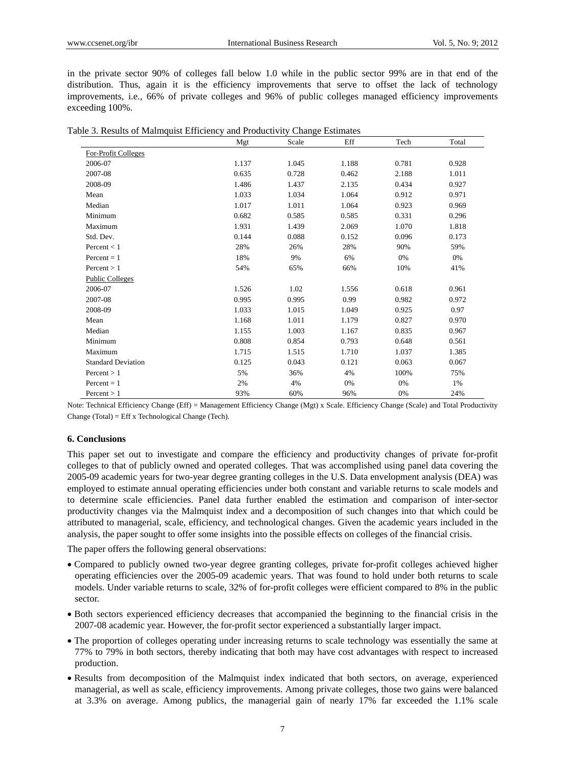in the private sector 90% of colleges fall below 1.0 while in the public sector 99% are in that end of the distribution. Thus, again it is the efficiency improvements that serve to offset the lack of technology improvements, i.e., 66% of private colleges and 96% of public colleges managed efficiency improvements exceeding 100%.

|                           | Mgt   | Scale | Eff   | Tech  | Total |
|---------------------------|-------|-------|-------|-------|-------|
| For-Profit Colleges       |       |       |       |       |       |
| 2006-07                   | 1.137 | 1.045 | 1.188 | 0.781 | 0.928 |
| 2007-08                   | 0.635 | 0.728 | 0.462 | 2.188 | 1.011 |
| 2008-09                   | 1.486 | 1.437 | 2.135 | 0.434 | 0.927 |
| Mean                      | 1.033 | 1.034 | 1.064 | 0.912 | 0.971 |
| Median                    | 1.017 | 1.011 | 1.064 | 0.923 | 0.969 |
| Minimum                   | 0.682 | 0.585 | 0.585 | 0.331 | 0.296 |
| Maximum                   | 1.931 | 1.439 | 2.069 | 1.070 | 1.818 |
| Std. Dev.                 | 0.144 | 0.088 | 0.152 | 0.096 | 0.173 |
| Percent $< 1$             | 28%   | 26%   | 28%   | 90%   | 59%   |
| $Percent = 1$             | 18%   | 9%    | 6%    | 0%    | 0%    |
| Percent > 1               | 54%   | 65%   | 66%   | 10%   | 41%   |
| <b>Public Colleges</b>    |       |       |       |       |       |
| 2006-07                   | 1.526 | 1.02  | 1.556 | 0.618 | 0.961 |
| 2007-08                   | 0.995 | 0.995 | 0.99  | 0.982 | 0.972 |
| 2008-09                   | 1.033 | 1.015 | 1.049 | 0.925 | 0.97  |
| Mean                      | 1.168 | 1.011 | 1.179 | 0.827 | 0.970 |
| Median                    | 1.155 | 1.003 | 1.167 | 0.835 | 0.967 |
| Minimum                   | 0.808 | 0.854 | 0.793 | 0.648 | 0.561 |
| Maximum                   | 1.715 | 1.515 | 1.710 | 1.037 | 1.385 |
| <b>Standard Deviation</b> | 0.125 | 0.043 | 0.121 | 0.063 | 0.067 |
| Percent $> 1$             | 5%    | 36%   | 4%    | 100%  | 75%   |
| $Percent = 1$             | 2%    | 4%    | 0%    | 0%    | 1%    |
| Percent $> 1$             | 93%   | 60%   | 96%   | 0%    | 24%   |

| Table 3. Results of Malmquist Efficiency and Productivity Change Estimates |  |  |
|----------------------------------------------------------------------------|--|--|
|                                                                            |  |  |

Note: Technical Efficiency Change (Eff) = Management Efficiency Change (Mgt) x Scale. Efficiency Change (Scale) and Total Productivity Change (Total) = Eff x Technological Change (Tech).

## **6. Conclusions**

This paper set out to investigate and compare the efficiency and productivity changes of private for-profit colleges to that of publicly owned and operated colleges. That was accomplished using panel data covering the 2005-09 academic years for two-year degree granting colleges in the U.S. Data envelopment analysis (DEA) was employed to estimate annual operating efficiencies under both constant and variable returns to scale models and to determine scale efficiencies. Panel data further enabled the estimation and comparison of inter-sector productivity changes via the Malmquist index and a decomposition of such changes into that which could be attributed to managerial, scale, efficiency, and technological changes. Given the academic years included in the analysis, the paper sought to offer some insights into the possible effects on colleges of the financial crisis.

The paper offers the following general observations:

- Compared to publicly owned two-year degree granting colleges, private for-profit colleges achieved higher operating efficiencies over the 2005-09 academic years. That was found to hold under both returns to scale models. Under variable returns to scale, 32% of for-profit colleges were efficient compared to 8% in the public sector.
- Both sectors experienced efficiency decreases that accompanied the beginning to the financial crisis in the 2007-08 academic year. However, the for-profit sector experienced a substantially larger impact.
- The proportion of colleges operating under increasing returns to scale technology was essentially the same at 77% to 79% in both sectors, thereby indicating that both may have cost advantages with respect to increased production.
- Results from decomposition of the Malmquist index indicated that both sectors, on average, experienced managerial, as well as scale, efficiency improvements. Among private colleges, those two gains were balanced at 3.3% on average. Among publics, the managerial gain of nearly 17% far exceeded the 1.1% scale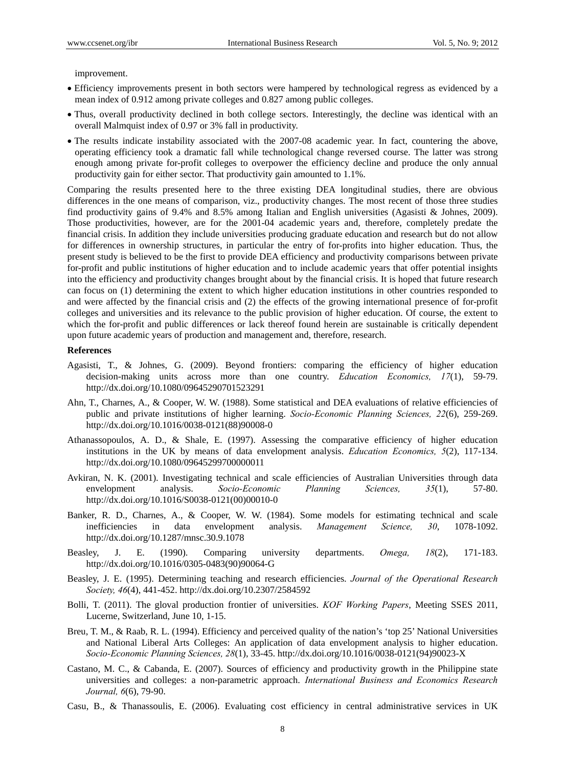improvement.

- Efficiency improvements present in both sectors were hampered by technological regress as evidenced by a mean index of 0.912 among private colleges and 0.827 among public colleges.
- Thus, overall productivity declined in both college sectors. Interestingly, the decline was identical with an overall Malmquist index of 0.97 or 3% fall in productivity.
- The results indicate instability associated with the 2007-08 academic year. In fact, countering the above, operating efficiency took a dramatic fall while technological change reversed course. The latter was strong enough among private for-profit colleges to overpower the efficiency decline and produce the only annual productivity gain for either sector. That productivity gain amounted to 1.1%.

Comparing the results presented here to the three existing DEA longitudinal studies, there are obvious differences in the one means of comparison, viz., productivity changes. The most recent of those three studies find productivity gains of 9.4% and 8.5% among Italian and English universities (Agasisti & Johnes, 2009). Those productivities, however, are for the 2001-04 academic years and, therefore, completely predate the financial crisis. In addition they include universities producing graduate education and research but do not allow for differences in ownership structures, in particular the entry of for-profits into higher education. Thus, the present study is believed to be the first to provide DEA efficiency and productivity comparisons between private for-profit and public institutions of higher education and to include academic years that offer potential insights into the efficiency and productivity changes brought about by the financial crisis. It is hoped that future research can focus on (1) determining the extent to which higher education institutions in other countries responded to and were affected by the financial crisis and (2) the effects of the growing international presence of for-profit colleges and universities and its relevance to the public provision of higher education. Of course, the extent to which the for-profit and public differences or lack thereof found herein are sustainable is critically dependent upon future academic years of production and management and, therefore, research.

#### **References**

- Agasisti, T., & Johnes, G. (2009). Beyond frontiers: comparing the efficiency of higher education decision-making units across more than one country. *Education Economics, 17*(1), 59-79. http://dx.doi.org/10.1080/09645290701523291
- Ahn, T., Charnes, A., & Cooper, W. W. (1988). Some statistical and DEA evaluations of relative efficiencies of public and private institutions of higher learning. *Socio-Economic Planning Sciences, 22*(6), 259-269. http://dx.doi.org/10.1016/0038-0121(88)90008-0
- Athanassopoulos, A. D., & Shale, E. (1997). Assessing the comparative efficiency of higher education institutions in the UK by means of data envelopment analysis. *Education Economics, 5*(2), 117-134. http://dx.doi.org/10.1080/09645299700000011
- Avkiran, N. K. (2001). Investigating technical and scale efficiencies of Australian Universities through data envelopment analysis. *Socio-Economic Planning Sciences, 35*(1), 57-80. http://dx.doi.org/10.1016/S0038-0121(00)00010-0
- Banker, R. D., Charnes, A., & Cooper, W. W. (1984). Some models for estimating technical and scale inefficiencies in data envelopment analysis. *Management Science, 30*, 1078-1092. http://dx.doi.org/10.1287/mnsc.30.9.1078
- Beasley, J. E. (1990). Comparing university departments. *Omega, 18*(2), 171-183. http://dx.doi.org/10.1016/0305-0483(90)90064-G
- Beasley, J. E. (1995). Determining teaching and research efficiencies. *Journal of the Operational Research Society, 46*(4), 441-452. http://dx.doi.org/10.2307/2584592
- Bolli, T. (2011). The gloval production frontier of universities. *KOF Working Papers*, Meeting SSES 2011, Lucerne, Switzerland, June 10, 1-15.
- Breu, T. M., & Raab, R. L. (1994). Efficiency and perceived quality of the nation's 'top 25' National Universities and National Liberal Arts Colleges: An application of data envelopment analysis to higher education. *Socio-Economic Planning Sciences, 28*(1), 33-45. http://dx.doi.org/10.1016/0038-0121(94)90023-X
- Castano, M. C., & Cabanda, E. (2007). Sources of efficiency and productivity growth in the Philippine state universities and colleges: a non-parametric approach. *International Business and Economics Research Journal, 6*(6), 79-90.
- Casu, B., & Thanassoulis, E. (2006). Evaluating cost efficiency in central administrative services in UK